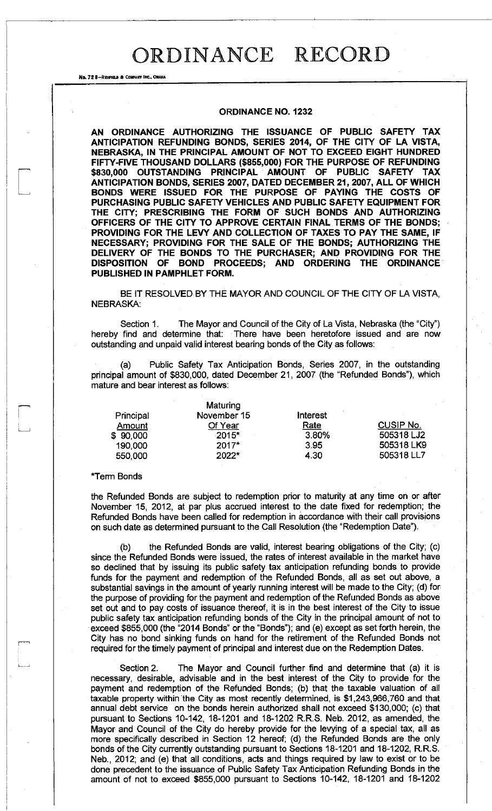No. 72 8-REDFIELD & COMPANY INC., OMAHA

#### **ORDINANCE NO. 1232**

**AN ORDINANCE AUTHORIZING THE ISSUANCE OF PUBLIC SAFETY TAX ANTICIPATION REFUNDING BONDS, SERIES 2014, OF THE CITY OF LA VISTA, NEBRASKA, IN THE PRINCIPAL AMOUNT OF NOT TO EXCEED EIGHT HUNDRED FIFTY-FIVE THOUSAND DOLLARS (\$855,000) FOR THE PURPOSE OF REFUNDING \$830,000 OUTSTANDING PRINCIPAL AMOUNT OF PUBLIC SAFETY TAX ANTICIPATION BONDS, SERIES 2007, DATED DECEMBER 21, 2007, ALL OF WHICH BONDS WERE ISSUED FOR THE PURPOSE OF PAYING THE COSTS OF PURCHASING PUBLIC SAFETY VEHICLES AND PUBLIC SAFETY EQUIPMENT FOR THE CITY; PRESCRIBING THE FORM OF SUCH BONDS AND AUTHORIZING OFFICERS OF THE CITY TO APPROVE CERTAIN FINAL TERMS OF THE BONDS; PROVIDING FOR THE LEVY AND COLLECTION OF TAXES TO PAY THE SAME, IF NECESSARY; PROVIDING FOR THE SALE OF THE BONDS; AUTHORIZING THE DELIVERY OF THE BONDS TO THE PURCHASER; AND PROVIDING FOR THE DISPOSITION OF BOND PROCEEDS; AND ORDERING THE ORDINANCE PUBLISHED IN PAMPHLET FORM.** 

BE IT RESOLVED BY THE MAYOR AND COUNCIL OF THE CITY OF LA VISTA, NEBRASKA:

Section 1. The Mayor and Council of the City of La Vista, Nebraska (the "City") hereby find and determine that: There have been heretofore issued and are now outstanding and unpaid valid interest bearing bonds of the City as follows:

Public Safety Tax Anticipation Bonds, Series 2007, in the outstanding principal amount of \$830,000, dated December 21, 2007 (the "Refunded Bonds"), which mature and bear interest as follows:

|           | <b>Maturing</b> |                 |                  |
|-----------|-----------------|-----------------|------------------|
| Principal | November 15     | <b>Interest</b> |                  |
| Amount    | Of Year         | Rate            | <b>CUSIP No.</b> |
| \$90,000  | $-2015*$        | 3.80%           | 505318 LJ2       |
| 190,000   | $2017*$         | 3.95            | 505318 LK9       |
| 550,000   | 2022*           | 4.30            | 505318 LL7       |

#### \*Term Bonds

the Refunded Bonds are subject to redemption prior to maturity at any time on or after November 15, 2012, at par plus accrued interest to the date fixed for redemption; the Refunded Bonds have been called for redemption in accordance with their call provisions on such date as determined pursuant to the Call Resolution (the "Redemption Date").

(b) the Refunded Bonds are valid, interest bearing obligations of the City; (c) since the Refunded Bonds were issued, the rates of interest available in the market have so declined that by issuing its public safety tax anticipation refunding bonds to provide funds for the payment and redemption of the Refunded Bonds, all as set out above, a substantial savings in the amount of yearly running interest will be made to the City; (d) for the purpose of providing for the payment and redemption of the Refunded Bonds as above set out and to pay costs of issuance thereof, it is in the best interest of the City to issue public safety tax anticipation refunding bonds of the City in the principal amount of not to exceed \$855,000 (the "2014 Bonds" or the "Bonds"); and (e) except as set forth herein, the City has no bond sinking funds on hand for the retirement of the Refunded Bonds not required for the timely payment of principal and interest due on the Redemption Dates.

Section 2. The Mayor and Council further find and determine that (a) it is necessary, desirable, advisable and in the best interest of the City to provide for the payment and redemption of the Refunded Bonds; (b) that the taxable valuation of all taxable property within the City as most recently determined, is \$1,243,966,760 and that annual debt service on the bonds herein authorized shall not exceed \$130,000; (c) that pursuant to Sections 10-142, 18-1201 and 18-1202 R.R.S. Neb. 2012, as amended, the Mayor and Council of the City do hereby provide for the levying of a special tax, all as more specifically described in Section 12 hereof; (d) the Refunded Bonds are the only bonds of the City currently outstanding pursuant to Sections 18-1201 and 18-1202, R.R.S. Neb., 2012; and (e) that all conditions, acts and things required by law to exist or to be done precedent to the issuance of Public Safety Tax Anticipation Refunding Bonds in the amount of not to exceed \$855,000 pursuant to Sections 10-142, 18-1201 and 18-1202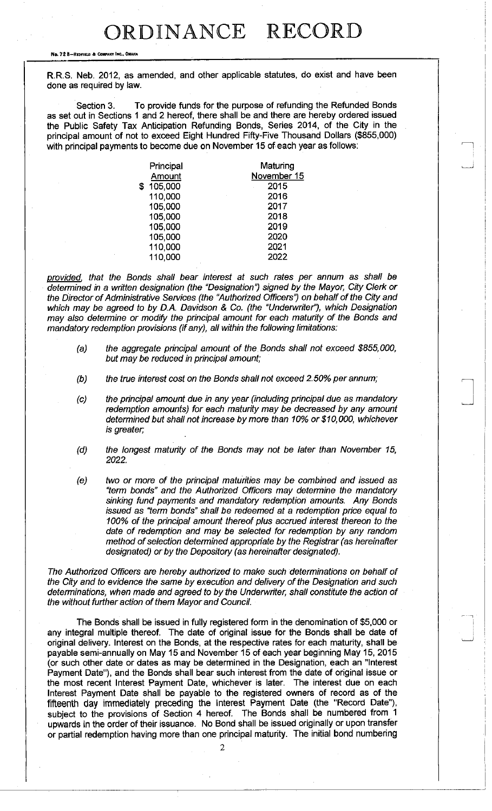No. 72 8-REDFIELD & COMPANY INC., OMAH

R.R.S. Neb. 2012, as amended, and other applicable statutes, do exist and have been done as required by law.

Section 3. To provide funds for the purpose of refunding the Refunded Bonds as set out in Sections 1 and 2 hereof, there shall be and there are hereby ordered issued the Public Safety Tax Anticipation Refunding Bonds, Series 2014, of the City in the principal amount of not to exceed Eight Hundred Fifty-Five Thousand Dollars (\$855,000) with principal payments to become due on November 15 of each year as follows:

| Principal     | Maturing    |
|---------------|-------------|
| Amount        | November 15 |
| \$<br>105,000 | 2015        |
| 110,000       | 2016        |
| 105,000       | 2017        |
| 105,000       | 2018        |
| 105,000       | 2019        |
| 105,000       | 2020        |
| 110,000       | 2021        |
| 110,000       | 2022        |

*provided , that the Bonds shall bear interest at such rates per annum as shall be determined in a written designation (the "Designation") signed by the Mayor, City Clerk or the Director of Administrative Services (the "Authorized Officers') on behalf of the City and which may be agreed to by D.A. Davidson & Co. (the "Underwriter"), which Designation may also determine or modify the principal amount for each maturity of the Bonds and mandatory redemption provisions (if any), all within the following limitations:* 

- *(a) the aggregate principal amount of the Bonds shall not exceed \$855,000, but may be reduced in principal amount;*
- *(b) the true interest cost on the Bonds shall not exceed 2.50% per annum;*
- *(c) the principal amount due in any year (including principal due as mandatory redemption amounts) for each maturity may be decreased by any amount determined but shall not increase by more than 10% or \$10,000, whichever is greater;*
- *(d) the longest maturity of the Bonds may not be later than November 15, 2022.*
- *(e) two or more of the principal maturities may be combined and issued as "term bonds" and the Authorized Officers may determine the mandatory sinking fund payments and mandatory redemption amounts. Any Bonds issued as "term bonds" shall be redeemed at a redemption price equal to 100% of the principal amount thereof plus accrued interest thereon to the date of redemption and may be selected for redemption by any random method of selection determined appropriate by the Registrar (as hereinafter designated) or by the Depository (as hereinafter designated).*

*The Authorized Officers are hereby authorized to make such determinations on behalf of the City and to evidence the same by execution and delivery of the Designation and such determinations, when made and agreed to by the Undemvriter, shall constitute the action of the without further action of them Mayor and Council.* 

The Bonds shall be issued in fully registered form in the denomination of \$5,000 or any integral multiple thereof. The date of original issue for the Bonds shall be date of original delivery. Interest on the Bonds, at the respective rates for each maturity, shall be payable semi-annually on May 15 and November 15 of each year beginning May 15, 2015 (or such other date or dates as may be determined in the Designation, each an "Interest Payment Date"), and the Bonds shall bear such interest from the date of original issue or the most recent Interest Payment Date, whichever is later. The interest due on each Interest Payment Date shall be payable to the registered owners of record as of the fifteenth day immediately preceding the Interest Payment Date (the "Record Date"), subject to the provisions of Section 4 hereof. The Bonds shall be numbered from 1 upwards in the order of their issuance. No Bond shall be issued originally or upon transfer or partial redemption having more than one principal maturity. The initial bond numbering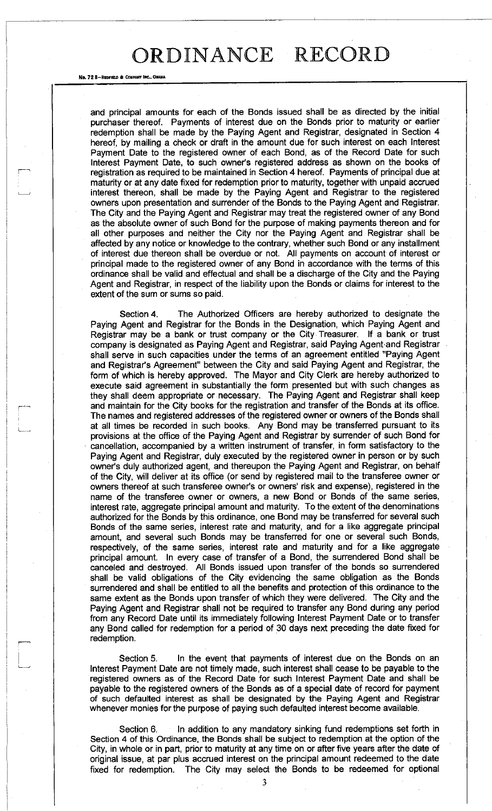#### No. 72 8-REDFIELD & COMPANY INC., OMAHA

and principal amounts for each of the Bonds issued shall be as directed by the initial purchaser thereof. Payments of interest due on the Bonds prior to maturity or earlier redemption shall be made by the Paying Agent and Registrar, designated in Section 4 hereof, by mailing a check or draft in the amount due for such interest on each Interest Payment Date to the registered owner of each Bond, as of the Record Date for such Interest Payment Date, to such owner's registered address as shown on the books of registration as required to be maintained in Section 4 hereof. Payments of principal due at maturity or at any date fixed for redemption prior to maturity, together with unpaid accrued interest thereon, shall be made by the Paying Agent and Registrar to the registered owners upon presentation and surrender of the Bonds to the Paying Agent and Registrar. The City and the Paying Agent and Registrar may treat the registered owner of any Bond as the absolute owner of such Bond for the purpose of making payments thereon and for all other purposes and neither the City nor the Paying Agent and Registrar shall be affected by any notice or knowledge to the contrary, whether such Bond or any installment of interest due thereon shall be overdue or not. All payments on account of interest or principal made to the registered owner of any Bond in accordance with the terms of this ordinance shall be valid and effectual and shall be a discharge of the City and the Paying Agent and Registrar, in respect of the liability upon the Bonds or claims for interest to the extent of the sum or sums so paid.

Section 4. The Authorized Officers are hereby authorized to designate the Paying Agent and Registrar for the Bonds in the Designation, which Paying Agent and Registrar may be a bank or trust company or the City Treasurer. If a bank or trust company is designated as Paying Agent and Registrar, said Paying Agent and Registrar shall serve in such capacities under the terms of an agreement entitled "Paying Agent and Registrar's Agreement" between the City and said Paying Agent and Registrar, the form of which is hereby approved. The Mayor and City Clerk are hereby authorized to execute said agreement in substantially the form presented but with such changes as they shall deem appropriate or necessary. The Paying Agent and Registrar shall keep and maintain for the City books for the registration and transfer of the Bonds at its office. The names and registered addresses of the registered owner or owners of the Bonds shall at all times be recorded in such books. Any Bond may be transferred pursuant to its provisions at the office of the Paying Agent and Registrar by surrender of such Bond for cancellation, accompanied by a written instrument of transfer, in form satisfactory to the Paying Agent and Registrar, duly executed by the registered owner in person or by such owner's duly authorized agent, and thereupon the Paying Agent and Registrar, on behalf of the City, will deliver at its office (or send by registered mail to the transferee owner or owners thereof at such transferee owner's or owners' risk and expense), registered in the name of the transferee owner or owners, a new Bond or Bonds of the same series, interest rate, aggregate principal amount and maturity. To the extent of the denominations authorized for the Bonds by this ordinance, one Bond may be transferred for several such Bonds of the same series, interest rate and maturity, and for a like aggregate principal amount, and several such Bonds may be transferred for one or several such Bonds, respectively, of the same series, interest rate and maturity and for a like aggregate principal amount. In every case of transfer of a Bond, the surrendered Bond shall be canceled and destroyed. All Bonds issued upon transfer of the bonds so surrendered shall be valid obligations of the City evidencing the same obligation as the Bonds surrendered and shall be entitled to all the benefits and protection of this ordinance to the same extent as the Bonds upon transfer of which they were delivered. The City and the Paying Agent and Registrar shall not be required to transfer any Bond during any period from any Record Date until its immediately following Interest Payment Date or to transfer any Bond called for redemption for a period of 30 days next preceding the date fixed for redemption.

Section 5. In the event that payments of interest due on the Bonds on an Interest Payment Date are not timely made, such interest shall cease to be payable to the registered owners as of the Record Date for such Interest Payment Date and shall be payable to the registered owners of the Bonds as of a special date of record for payment of such defaulted interest as shall be designated by the Paying Agent and Registrar whenever monies for the purpose of paying such defaulted interest become available.

Section 6. In addition to any mandatory sinking fund redemptions set forth in Section 4 of this Ordinance, the Bonds shall be subject to redemption at the option of the City, in whole or in part, prior to maturity at any time on or after five years after the date of original issue, at par plus accrued interest on the principal amount redeemed to the date fixed for redemption. The City may select the Bonds to be redeemed for optional

3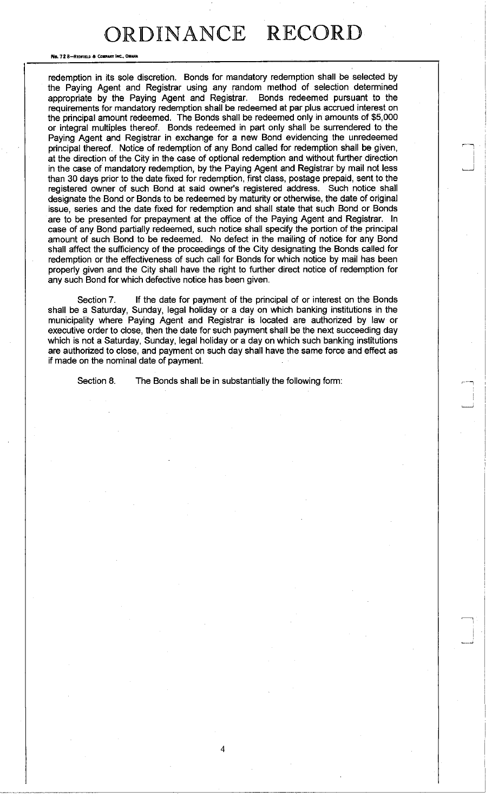No. 72 8-REDFIELD & COMPANY INC., OMAHA

redemption in its sole discretion. Bonds for mandatory redemption shall be selected by the Paying Agent and Registrar using any random method of selection determined appropriate by the Paying Agent and Registrar. Bonds redeemed pursuant to the requirements for mandatory redemption shall be redeemed at par plus accrued interest on the principal amount redeemed. The Bonds shall be redeemed only in amounts of \$5,000 or integral multiples thereof. Bonds redeemed in part only shall be surrendered to the Paying Agent and Registrar in exchange for a new Bond evidencing the unredeemed principal thereof. Notice of redemption of any Bond called for redemption shall be given, at the direction of the City in the case of optional redemption and without further direction in the case of mandatory redemption, by the Paying Agent and Registrar by mail not less than 30 days prior to the date fixed for redemption, first class, postage prepaid, sent to the registered owner of such Bond at said owner's registered address. Such notice shall designate the Bond or Bonds to be redeemed by maturity or otherwise, the date of original issue, series and the date fixed for redemption and shall state that such Bond or Bonds are to be presented for prepayment at the office of the Paying Agent and Registrar. In case of any Bond partially redeemed, such notice shall specify the portion of the principal amount of such Bond to be redeemed. No defect in the mailing of notice for any Bond shall affect the sufficiency of the proceedings of the City designating the Bonds called for redemption or the effectiveness of such call for Bonds for which notice by mail has been properly given and the City shall have the right to further direct notice of redemption for any such Bond for which defective notice has been given.

Section 7. If the date for payment of the principal of or interest on the Bonds shall be a Saturday, Sunday, legal holiday or a day on which banking institutions in the municipality where Paying Agent and Registrar is located are authorized by law or executive order to close, then the date for such payment shall be the next succeeding day which is not a Saturday, Sunday, legal holiday or a day on which such banking institutions are authorized to close, and payment on such day shall have the same force and effect as if made on the nominal date of payment.

4

Section 8. The Bonds shall be in substantially the following form: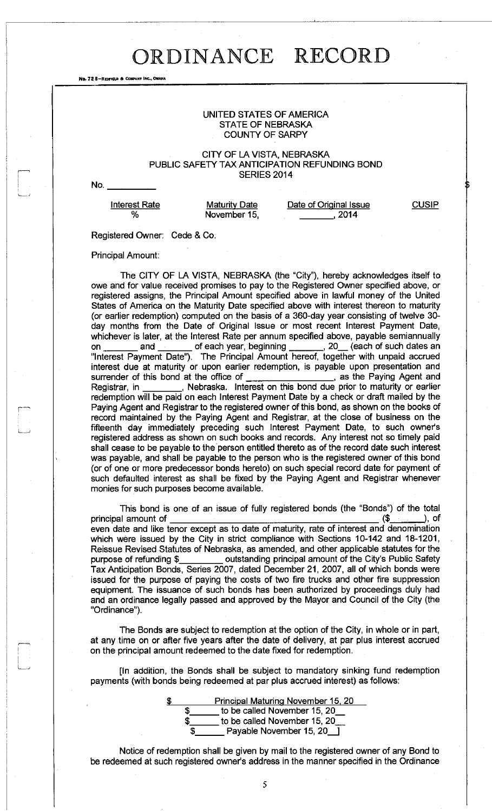No. 72 8-REDFIELD & COMPANY INC., OMAHA

### UNITED STATES OF AMERICA STATE OF NEBRASKA COUNTY OF SARPY

### CITY OF LA VISTA, NEBRASKA PUBLIC SAFETY TAX ANTICIPATION REFUNDING BOND SERIES 2014

No.

Interest Rate **%** 

**Maturity Date** November 15, Date of Original Issue  $\frac{2014}{5}$ 

**CUSIP** 

Registered Owner: Cede & Co.

Principal Amount:

The CITY OF LA VISTA, NEBRASKA (the "City"), hereby acknowledges itself to owe and for value received promises to pay to the Registered Owner specified above, or registered assigns, the Principal Amount specified above in lawful money of the United States of America on the Maturity Date specified above with interest thereon to maturity (or earlier redemption) computed on the basis of a 360-day year consisting of twelve 30 day months from the Date of Original Issue or most recent Interest Payment Date, whichever is later, at the Interest Rate per annum specified above, payable semiannually on \_\_\_\_\_\_\_ and \_\_\_\_\_\_\_ of each year, beginning \_\_\_\_\_\_\_, 20\_\_ (each of such dates an "Interest Payment Date"). The Principal Amount hereof, together with unpaid accrued interest due at maturity or upon earlier redemption, is payable upon presentation and surrender of this bond at the office of \_\_\_\_\_\_\_\_\_\_\_\_\_\_\_\_\_\_, as the Paying Agent and surrender of this bond at the office of Registrar, in , Nebraska. Interest on this bond due prior to maturity or earlier redemption will be paid on each Interest Payment Date by a check or draft mailed by the Paying Agent and Registrar to the registered owner of this bond, as shown on the books of record maintained by the Paying Agent and Registrar, at the close of business on the fifteenth day immediately preceding such Interest Payment Date, to such owner's registered address as shown on such books and records. Any interest not so timely paid shall cease to be payable to the person entitled thereto as of the record date such interest was payable, and shall be payable to the person who is the registered owner of this bond (or of one or more predecessor bonds hereto) on such special record date for payment of such defaulted interest as shall be fixed by the Paying Agent and Registrar whenever monies for such purposes become available.

This bond is one of an issue of fully registered bonds (the "Bonds") of the total principal amount of  $($ even date and like tenor except as to date of maturity, rate of interest and denomination which were issued by the City in strict compliance with Sections 10-142 and 18-1201, Reissue Revised Statutes of Nebraska, as amended, and other applicable statutes for the purpose of refunding \$\_\_\_\_\_\_\_\_\_ outstanding principal amount of the City's Public Safety Tax Anticipation Bonds, Series 2007, dated December 21, 2007, all of which bonds were issued for the purpose of paying the costs of two fire trucks and other fire suppression equipment. The issuance of such bonds has been authorized by proceedings duly had and an ordinance legally passed and approved by the Mayor and Council of the City (the "Ordinance").

The Bonds are subject to redemption at the option of the City, in whole or in part, at any time on or after five years after the date of delivery, at par plus interest accrued on the principal amount redeemed to the date fixed for redemption.

[In addition, the Bonds shall be subject to mandatory sinking fund redemption payments (with bonds being redeemed at par plus accrued interest) as follows:

> Principal Maturing November 15. 20  $\_$  to be called November 15, 20 $\_$ \$\_\_\_\_\_\_\_ to be called November 15, 20\_  $\Box$  Payable November 15, 20  $\Box$

Notice of redemption shall be given by mail to the registered owner of any Bond to be redeemed at such registered owner's address in the manner specified in the Ordinance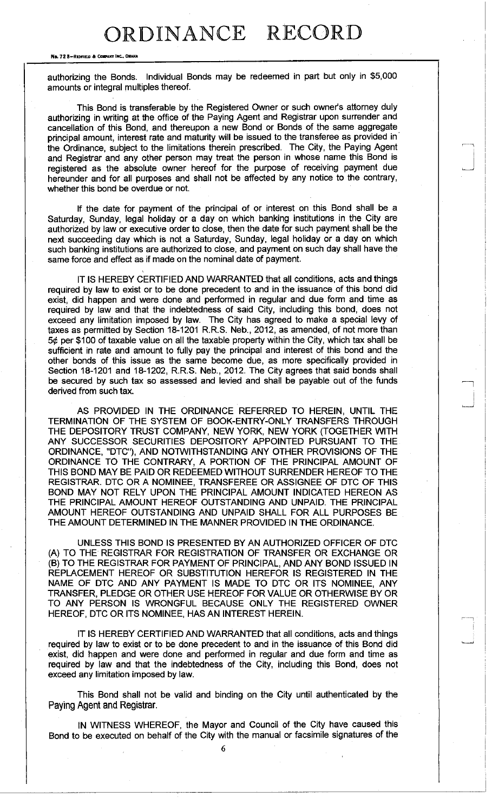No. 72 8-REDFIELD & COMPANY INC., OMAHA

authorizing the Bonds. Individual Bonds may be redeemed in part but only in \$5,000 amounts or integral multiples thereof.

This Bond is transferable by the Registered Owner or such owner's attorney duly authorizing in writing at the office of the Paying Agent and Registrar upon surrender and cancellation of this Bond, and thereupon a new Bond or Bonds of the same aggregate principal amount, interest rate and maturity will be issued to the transferee as provided in the Ordinance, subject to the limitations therein prescribed. The City, the Paying Agent and Registrar and any other person may treat the person in whose name this Bond is registered as the absolute owner hereof for the purpose of receiving payment due hereunder and for all purposes and shall not be affected by any notice to the contrary, whether this bond be overdue or not.

If the date for payment of the principal of or interest on this Bond shall be a Saturday, Sunday, legal holiday or a day on which banking institutions in the City are authorized by law or executive order to close, then the date for such payment shall be the next succeeding day which is not a Saturday, Sunday, legal holiday or a day on which such banking institutions are authorized to close, and payment on such day shall have the same force and effect as if made on the nominal date of payment.

I

IT IS HEREBY CERTIFIED AND WARRANTED that all conditions, acts and things required by law to exist or to be done precedent to and in the issuance of this bond did exist, did happen and were done and performed in regular and due form and time as required by law and that the indebtedness of said City, including this bond, does not exceed any limitation imposed by law. The City has agreed to make a special levy of taxes as permitted by Section 18-1201 R.R.S. Neb., 2012, as amended, of not more than  $5¢$  per \$100 of taxable value on all the taxable property within the City, which tax shall be sufficient in rate and amount to fully pay the principal and interest of this bond and the other bonds of this issue as the same become due, as more specifically provided in Section 18-1201 and 18-1202, R.R.S. Neb., 2012. The City agrees that said bonds shall be secured by such tax so assessed and levied and shall be payable out of the funds derived from such tax.

AS PROVIDED IN THE ORDINANCE REFERRED TO HEREIN, UNTIL THE TERMINATION OF THE SYSTEM OF BOOK-ENTRY-ONLY TRANSFERS THROUGH THE DEPOSITORY TRUST COMPANY, NEW YORK, NEW YORK (TOGETHER WITH ANY SUCCESSOR SECURITIES DEPOSITORY APPOINTED PURSUANT TO THE ORDINANCE, "DTC"), AND NOTWITHSTANDING ANY OTHER PROVISIONS OF THE ORDINANCE TO THE CONTRARY, A PORTION OF THE PRINCIPAL AMOUNT OF THIS BOND MAY BE PAID OR REDEEMED WITHOUT SURRENDER HEREOF TO THE REGISTRAR. DTC OR A NOMINEE, TRANSFEREE OR ASSIGNEE OF DTC OF THIS BOND MAY NOT RELY UPON THE PRINCIPAL AMOUNT INDICATED HEREON AS THE PRINCIPAL AMOUNT HEREOF OUTSTANDING AND UNPAID. THE PRINCIPAL AMOUNT HEREOF OUTSTANDING AND UNPAID SHALL FOR ALL PURPOSES BE THE AMOUNT DETERMINED IN THE MANNER PROVIDED IN THE ORDINANCE.

UNLESS THIS BOND IS PRESENTED BY AN AUTHORIZED OFFICER OF DTC (A) TO THE REGISTRAR FOR REGISTRATION OF TRANSFER OR EXCHANGE OR (B) TO THE REGISTRAR FOR PAYMENT OF PRINCIPAL, AND ANY BOND ISSUED IN REPLACEMENT HEREOF OR SUBSTITUTION HEREFOR IS REGISTERED IN THE NAME OF DTC AND ANY PAYMENT IS MADE TO DTC OR ITS NOMINEE, ANY TRANSFER, PLEDGE OR OTHER USE HEREOF FOR VALUE OR OTHERWISE BY OR TO ANY PERSON IS WRONGFUL BECAUSE ONLY THE REGISTERED OWNER HEREOF, DTC OR ITS NOMINEE, HAS AN INTEREST HEREIN.

IT IS HEREBY CERTIFIED AND WARRANTED that all conditions, acts and things required by law to exist or to be done precedent to and in the issuance of this Bond did exist, did happen and were done and performed in regular and due form and time as required by law and that the indebtedness of the City, including this Bond, does not exceed any limitation imposed by law.

This Bond shall not be valid and binding on the City until authenticated by the Paying Agent and Registrar.

IN WITNESS WHEREOF, the Mayor and Council of the City have caused this Bond to be executed on behalf of the City with the manual or facsimile signatures of the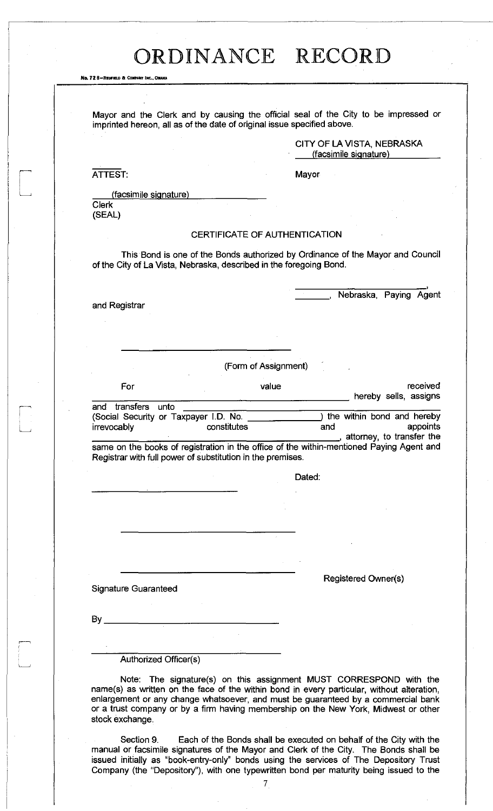No. 72 B-REDFIELD & COMPANY INC., OMAKA

Mayor and the Clerk and by causing the official seal of the City to be impressed or imprinted hereon, all as of the date of original issue specified above.

> CITY OF LA VISTA, NEBRASKA (facsimile signature )

> > Nebraska, Paying Agent

ATTEST: Mayor

(facsimile signature)

Clerk (SEAL)

### CERTIFICATE OF AUTHENTICATION

This Bond is one of the Bonds authorized by Ordinance of the Mayor and Council of the City of La Vista, Nebraska, described in the foregoing Bond.

and Registrar

 $\overline{and}$ 

(Form of Assignment)

| For                                   | value | received<br>hereby sells, assigns |
|---------------------------------------|-------|-----------------------------------|
| and transfers unto                    |       |                                   |
| (Social Security or Taxpayer I.D. No. |       | the within bond and hereby        |

| TOUCK OCCUTIVE OF TRAPAYER I.D. NO. |             |     | ulo withit point and not ovy |          |
|-------------------------------------|-------------|-----|------------------------------|----------|
| <i>irrevocably</i>                  | constitutes | and |                              | appoints |
|                                     |             |     | attorney, to transfer the    |          |

same on the books of registration in the office of the within-mentioned Paying Agent and Registrar with full power of substitution in the premises.

Dated:

Signature Guaranteed

Registered Owner(s)

By

Authorized Officer(s)

Note: The signature(s) on this assignment MUST CORRESPOND with the name(s) as written on the face of the within bond in every particular, without alteration, enlargement or any change whatsoever, and must be guaranteed by a commercial bank or a trust company or by a firm having membership on the New York, Midwest or other stock exchange.

Section 9. Each of the Bonds shall be executed on behalf of the City with the manual or facsimile signatures of the Mayor and Clerk of the City. The Bonds shall be issued initially as "book-entry-only" bonds using the services of The Depository Trust Company (the "Depository"), with one typewritten bond per maturity being issued to the

7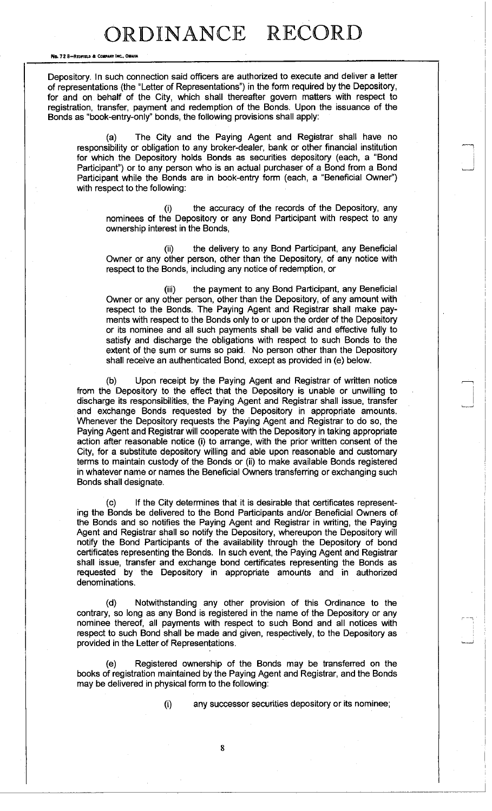No. 72 8-REDFIELD & COMPANY INC., OMAHA

Depository. In such connection said officers are authorized to execute and deliver a letter of representations (the "Letter of Representations") in the form required by the Depository, for and on behalf of the City, which shall thereafter govern matters with respect to registration, transfer, payment and redemption of the Bonds. Upon the issuance of the Bonds as "book-entry-only" bonds, the following provisions shall apply:

(a) The City and the Paying Agent and Registrar shall have no responsibility or obligation to any broker-dealer, bank or other financial institution for which the Depository holds Bonds as securities depository (each, a "Bond Participant") or to any person who is an actual purchaser of a Bond from a Bond Participant while the Bonds are in book-entry form (each, a "Beneficial Owner") with respect to the following:

(i) the accuracy of the records of the Depository, any nominees of the Depository or any Bond Participant with respect to any ownership interest in the Bonds,

(ii) the delivery to any Bond Participant, any Beneficial Owner or any other person, other than the Depository, of any notice with respect to the Bonds, including any notice of redemption, or

(iii) the payment to any Bond Participant, any Beneficial Owner or any other person, other than the Depository, of any amount with respect to the Bonds. The Paying Agent and Registrar shall make payments with respect to the Bonds only to or upon the order of the Depository or its nominee and all such payments shall be valid and effective fully to satisfy and discharge the obligations with respect to such Bonds to the extent of the sum or sums so paid. No person other than the Depository shall receive an authenticated Bond, except as provided in (e) below.

(b) Upon receipt by the Paying Agent and Registrar of written notice from the Depository to the effect that the Depository is unable or unwilling to discharge its responsibilities, the Paying Agent and Registrar shall issue, transfer and exchange Bonds requested by the Depository in appropriate amounts. Whenever the Depository requests the Paying Agent and Registrar to do so, the Paying Agent and Registrar will cooperate with the Depository in taking appropriate action after reasonable notice (i) to arrange, with the prior written consent of the City, for a substitute depository willing and able upon reasonable and customary terms to maintain custody of the Bonds or (ii) to make available Bonds registered in whatever name or names the Beneficial Owners transferring or exchanging such Bonds shall designate.

(c) If the City determines that it is desirable that certificates representing the Bonds be delivered to the Bond Participants and/or Beneficial Owners of the Bonds and so notifies the Paying Agent and Registrar in writing, the Paying Agent and Registrar shall so notify the Depository, whereupon the Depository will notify the Bond Participants of the availability through the Depository of bond certificates representing the Bonds. In such event, the Paying Agent and Registrar shall issue, transfer and exchange bond certificates representing the Bonds as requested by the Depository in appropriate amounts and in authorized denominations.

(d) Notwithstanding any other provision of this Ordinance to the contrary, so long as any Bond is registered in the name of the Depository or any nominee thereof, all payments with respect to such Bond and all notices with respect to such Bond shall be made and given, respectively, to the Depository as provided in the Letter of Representations.

(e) Registered ownership of the Bonds may be transferred on the books of registration maintained by the Paying Agent and Registrar, and the Bonds may be delivered in physical form to the following:

(i) any successor securities depository or its nominee;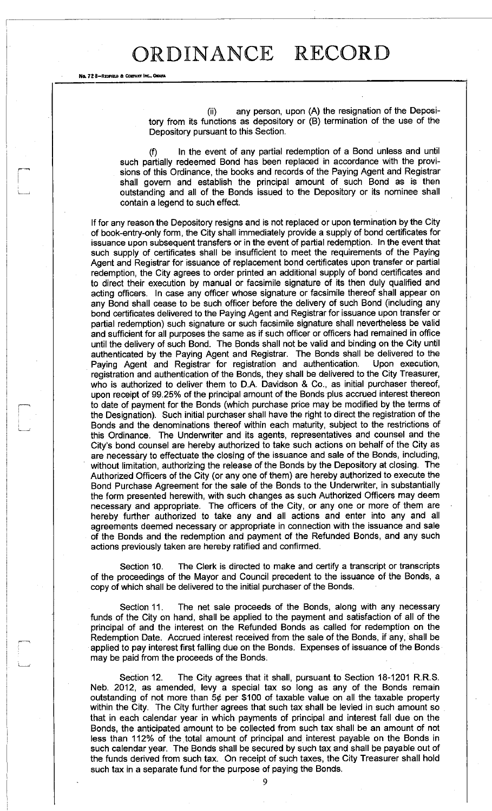Ne. 72 8-REDFIELD & COMPA

(ii) any person, upon (A) the resignation of the Depository from its functions as depository or (B) termination of the use of the Depository pursuant to this Section.

(f) In the event of any partial redemption of a Bond unless and until such partially redeemed Bond has been replaced in accordance with the provisions of this Ordinance, the books and records of the Paying Agent and Registrar shall govern and establish the principal amount of such Bond as is then outstanding and all of the Bonds issued to the Depository or its nominee shall contain a legend to such effect.

If for any reason the Depository resigns and is not replaced or upon termination by the City of book-entry-only form, the City shall immediately provide a supply of bond certificates for issuance upon subsequent transfers or in the event of partial redemption. In the event that such supply of certificates shall be insufficient to meet the requirements of the Paying Agent and Registrar for issuance of replacement bond certificates upon transfer or partial redemption, the City agrees to order printed an additional supply of bond certificates and to direct their execution by manual or facsimile signature of its then duly qualified and acting officers. In case any officer whose signature or facsimile thereof shall appear on any Bond shall cease to be such officer before the delivery of such Bond (including any bond certificates delivered to the Paying Agent and Registrar for issuance upon transfer or partial redemption) such signature or such facsimile signature shall nevertheless be valid and sufficient for all purposes the same as if such officer or officers had remained in office until the delivery of such Bond. The Bonds shall not be valid and binding on the City until authenticated by the Paying Agent and Registrar. The Bonds shall be delivered to the Paying Agent and Registrar for registration and authentication. Upon execution, registration and authentication of the Bonds, they shall be delivered to the City Treasurer, who is authorized to deliver them to D.A. Davidson & Co., as initial purchaser thereof, upon receipt of 99.25% of the principal amount of the Bonds plus accrued interest thereon to date of payment for the Bonds (which purchase price may be modified by the terms of the Designation). Such initial purchaser shall have the right to direct the registration of the Bonds and the denominations thereof within each maturity, subject to the restrictions of this Ordinance. The Underwriter and its agents, representatives and counsel and the City's bond counsel are hereby authorized to take such actions on behalf of the City as are necessary to effectuate the closing of the issuance and sale of the Bonds, including, without limitation, authorizing the release of the Bonds by the Depository at closing. The Authorized Officers of the City (or any one of them) are hereby authorized to execute the Bond Purchase Agreement for the sale of the Bonds to the Underwriter, in substantially the form presented herewith, with such changes as such Authorized Officers may deem necessary and appropriate. The officers of the City, or any one or more of them are hereby further authorized to take any and all actions and enter into any and all agreements deemed necessary or appropriate in connection with the issuance and sale of the Bonds and the redemption and payment of the Refunded Bonds, and any such actions previously taken are hereby ratified and confirmed.

Section 10. The Clerk is directed to make and certify a transcript or transcripts of the proceedings of the Mayor and Council precedent to the issuance of the Bonds, a copy of which shall be delivered to the initial purchaser of the Bonds.

Section 11. The net sale proceeds of the Bonds, along with any necessary funds of the City on hand, shall be applied to the payment and satisfaction of all of the principal of and the interest on the Refunded Bonds as called for redemption on the Redemption Date. Accrued interest received from the sale of the Bonds, if any, shall be applied to pay interest first falling due on the Bonds. Expenses of issuance of the Bonds may be paid from the proceeds of the Bonds.

Section 12. The City agrees that it shall, pursuant to Section 18-1201 R.R.S. Neb. 2012, as amended, levy a special tax so long as any of the Bonds remain outstanding of not more than  $5¢$  per \$100 of taxable value on all the taxable property within the City. The City further agrees that such tax shall be levied in such amount so that in each calendar year in which payments of principal and interest fall due on the Bonds, the anticipated amount to be collected from such tax shall be an amount of not less than 112% of the total amount of principal and interest payable on the Bonds in such calendar year. The Bonds shall be secured by such tax and shall be payable out of the funds derived from such tax. On receipt of such taxes, the City Treasurer shall hold such tax in a separate fund for the purpose of paying the Bonds.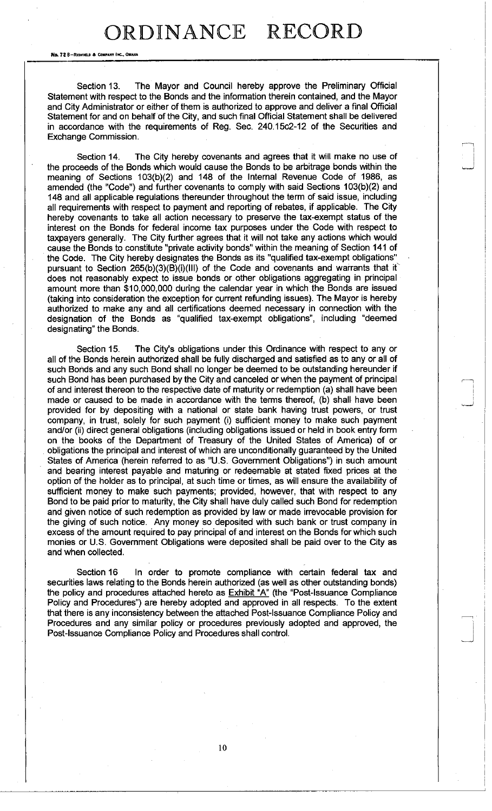No. 72 B-REDFIELD & COMPANY IN

Section 13. The Mayor and Council hereby approve the Preliminary Official Statement with respect to the Bonds and the information therein contained, and the Mayor and City Administrator or either of them is authorized to approve and deliver a final Official Statement for and on behalf of the City, and such final Official Statement shall be delivered in accordance with the requirements of Reg. Sec. 240.15c2-12 of the Securities and Exchange Commission.

Section 14. The City hereby covenants and agrees that it will make no use of the proceeds of the Bonds which would cause the Bonds to be arbitrage bonds within the meaning of Sections 103(b)(2) and 148 of the Internal Revenue Code of 1986, as amended (the "Code") and further covenants to comply with said Sections 103(b)(2) and 148 and all applicable regulations thereunder throughout the term of said issue, including all requirements with respect to payment and reporting of rebates, if applicable. The City hereby covenants to take all action necessary to preserve the tax-exempt status of the interest on the Bonds for federal income tax purposes under the Code with respect to taxpayers generally. The City further agrees that it will not take any actions which would cause the Bonds to constitute "private activity bonds" within the meaning of Section 141 of the Code. The City hereby designates the Bonds as its "qualified tax-exempt obligations" pursuant to Section 265(b)(3)(B)(i)(III) of the Code and covenants and warrants that it does not reasonably expect to issue bonds or other obligations aggregating in principal amount more than \$10,000,000 during the calendar year in which the Bonds are issued (taking into consideration the exception for current refunding issues). The Mayor is hereby authorized to make any and all certifications deemed necessary in connection with the designation of the Bonds as "qualified tax-exempt obligations", including "deemed designating" the Bonds.

Section 15. The City's obligations under this Ordinance with respect to any or all of the Bonds herein authorized shall be fully discharged and satisfied as to any or all of such Bonds and any such Bond shall no longer be deemed to be outstanding hereunder if such Bond has been purchased by the City and canceled or when the payment of principal of and interest thereon to the respective date of maturity or redemption (a) shall have been made or caused to be made in accordance with the terms thereof, (b) shall have been provided for by depositing with a national or state bank having trust powers, or trust company, in trust, solely for such payment (i) sufficient money to make such payment and/or (ii) direct general obligations (including obligations issued or held in book entry form on the books of the Department of Treasury of the United States of America) of or obligations the principal and interest of which are unconditionally guaranteed by the United States of America (herein referred to as "U.S. Government Obligations") in such amount and bearing interest payable and maturing or redeemable at stated fixed prices at the option of the holder as to principal, at such time or times, as will ensure the availability of sufficient money to make such payments; provided, however, that with respect to any Bond to be paid prior to maturity, the City shall have duly called such Bond for redemption and given notice of such redemption as provided by law or made irrevocable provision for the giving of such notice. Any money so deposited with such bank or trust company in excess of the amount required to pay principal of and interest on the Bonds for which such monies or U.S. Government Obligations were deposited shall be paid over to the City as and when collected.

Section 16 In order to promote compliance with certain federal tax and securities laws relating to the Bonds herein authorized (as well as other outstanding bonds) the policy and procedures attached hereto as  $Exhibit 'A'$  (the "Post-Issuance Compliance Policy and Procedures") are hereby adopted and approved in all respects. To the extent that there is any inconsistency between the attached Post-Issuance Compliance Policy and Procedures and any similar policy or procedures previously adopted and approved, the Post-Issuance Compliance Policy and Procedures shall control.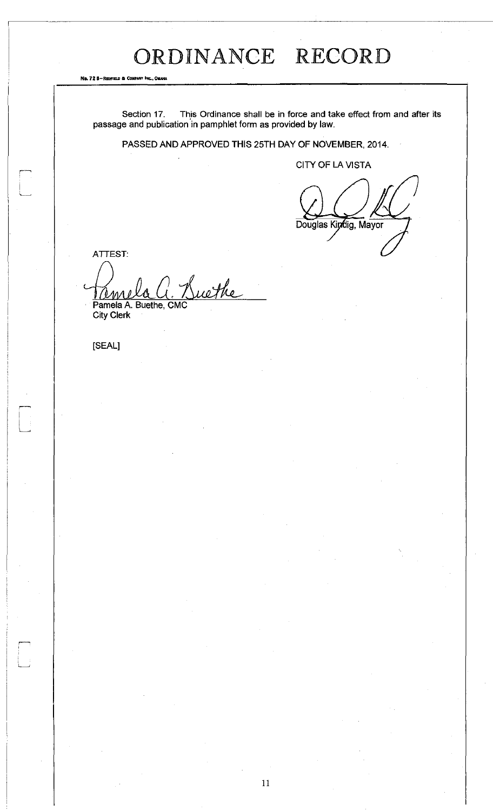No. 72 8-Reorien & C

Section 17. This Ordinance shall be in force and take effect from and after its passage and publication in pamphlet form as provided by law.

PASSED AND APPROVED THIS 25TH DAY OF NOVEMBER, 2014.

CITY OF LA VISTA

Douglas Kindig, Mayor

ATTEST:

P\*- <sup>1</sup> " '•-\*

Suethe (em Pamela A. Buethe, CM

City Clerk

[SEAL]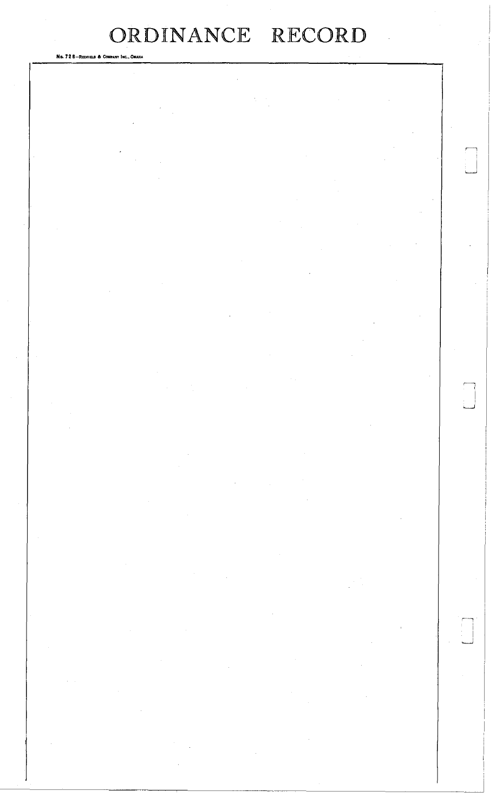| No. 72 8-REDFIELD & COMPANY INC., OMAHA |                                                                                                                                                                                                                                                                                                                                                                                                  |                                                                                                                                                                                                                                                                                                                                                                                                                                                                                |                                                                                                                                                                                                                                                                                                                                                      |           |
|-----------------------------------------|--------------------------------------------------------------------------------------------------------------------------------------------------------------------------------------------------------------------------------------------------------------------------------------------------------------------------------------------------------------------------------------------------|--------------------------------------------------------------------------------------------------------------------------------------------------------------------------------------------------------------------------------------------------------------------------------------------------------------------------------------------------------------------------------------------------------------------------------------------------------------------------------|------------------------------------------------------------------------------------------------------------------------------------------------------------------------------------------------------------------------------------------------------------------------------------------------------------------------------------------------------|-----------|
|                                         |                                                                                                                                                                                                                                                                                                                                                                                                  |                                                                                                                                                                                                                                                                                                                                                                                                                                                                                |                                                                                                                                                                                                                                                                                                                                                      |           |
|                                         |                                                                                                                                                                                                                                                                                                                                                                                                  |                                                                                                                                                                                                                                                                                                                                                                                                                                                                                |                                                                                                                                                                                                                                                                                                                                                      |           |
|                                         |                                                                                                                                                                                                                                                                                                                                                                                                  |                                                                                                                                                                                                                                                                                                                                                                                                                                                                                |                                                                                                                                                                                                                                                                                                                                                      |           |
|                                         |                                                                                                                                                                                                                                                                                                                                                                                                  |                                                                                                                                                                                                                                                                                                                                                                                                                                                                                |                                                                                                                                                                                                                                                                                                                                                      |           |
|                                         |                                                                                                                                                                                                                                                                                                                                                                                                  |                                                                                                                                                                                                                                                                                                                                                                                                                                                                                |                                                                                                                                                                                                                                                                                                                                                      |           |
|                                         |                                                                                                                                                                                                                                                                                                                                                                                                  |                                                                                                                                                                                                                                                                                                                                                                                                                                                                                |                                                                                                                                                                                                                                                                                                                                                      |           |
|                                         |                                                                                                                                                                                                                                                                                                                                                                                                  |                                                                                                                                                                                                                                                                                                                                                                                                                                                                                |                                                                                                                                                                                                                                                                                                                                                      |           |
|                                         |                                                                                                                                                                                                                                                                                                                                                                                                  |                                                                                                                                                                                                                                                                                                                                                                                                                                                                                |                                                                                                                                                                                                                                                                                                                                                      |           |
|                                         |                                                                                                                                                                                                                                                                                                                                                                                                  |                                                                                                                                                                                                                                                                                                                                                                                                                                                                                |                                                                                                                                                                                                                                                                                                                                                      |           |
|                                         |                                                                                                                                                                                                                                                                                                                                                                                                  |                                                                                                                                                                                                                                                                                                                                                                                                                                                                                |                                                                                                                                                                                                                                                                                                                                                      |           |
|                                         |                                                                                                                                                                                                                                                                                                                                                                                                  |                                                                                                                                                                                                                                                                                                                                                                                                                                                                                |                                                                                                                                                                                                                                                                                                                                                      |           |
|                                         |                                                                                                                                                                                                                                                                                                                                                                                                  |                                                                                                                                                                                                                                                                                                                                                                                                                                                                                |                                                                                                                                                                                                                                                                                                                                                      |           |
|                                         |                                                                                                                                                                                                                                                                                                                                                                                                  |                                                                                                                                                                                                                                                                                                                                                                                                                                                                                |                                                                                                                                                                                                                                                                                                                                                      |           |
|                                         |                                                                                                                                                                                                                                                                                                                                                                                                  |                                                                                                                                                                                                                                                                                                                                                                                                                                                                                |                                                                                                                                                                                                                                                                                                                                                      |           |
|                                         |                                                                                                                                                                                                                                                                                                                                                                                                  |                                                                                                                                                                                                                                                                                                                                                                                                                                                                                |                                                                                                                                                                                                                                                                                                                                                      |           |
|                                         |                                                                                                                                                                                                                                                                                                                                                                                                  |                                                                                                                                                                                                                                                                                                                                                                                                                                                                                |                                                                                                                                                                                                                                                                                                                                                      |           |
|                                         |                                                                                                                                                                                                                                                                                                                                                                                                  |                                                                                                                                                                                                                                                                                                                                                                                                                                                                                |                                                                                                                                                                                                                                                                                                                                                      |           |
|                                         |                                                                                                                                                                                                                                                                                                                                                                                                  |                                                                                                                                                                                                                                                                                                                                                                                                                                                                                |                                                                                                                                                                                                                                                                                                                                                      |           |
|                                         |                                                                                                                                                                                                                                                                                                                                                                                                  |                                                                                                                                                                                                                                                                                                                                                                                                                                                                                |                                                                                                                                                                                                                                                                                                                                                      |           |
| $\sim$                                  |                                                                                                                                                                                                                                                                                                                                                                                                  |                                                                                                                                                                                                                                                                                                                                                                                                                                                                                |                                                                                                                                                                                                                                                                                                                                                      |           |
|                                         |                                                                                                                                                                                                                                                                                                                                                                                                  |                                                                                                                                                                                                                                                                                                                                                                                                                                                                                | $\sim 100$                                                                                                                                                                                                                                                                                                                                           |           |
|                                         |                                                                                                                                                                                                                                                                                                                                                                                                  | $\mathcal{L}^{\mathcal{L}}(\mathcal{L}^{\mathcal{L}}(\mathcal{L}^{\mathcal{L}}(\mathcal{L}^{\mathcal{L}}(\mathcal{L}^{\mathcal{L}}(\mathcal{L}^{\mathcal{L}}(\mathcal{L}^{\mathcal{L}}(\mathcal{L}^{\mathcal{L}}(\mathcal{L}^{\mathcal{L}}(\mathcal{L}^{\mathcal{L}}(\mathcal{L}^{\mathcal{L}}(\mathcal{L}^{\mathcal{L}}(\mathcal{L}^{\mathcal{L}}(\mathcal{L}^{\mathcal{L}}(\mathcal{L}^{\mathcal{L}}(\mathcal{L}^{\mathcal{L}}(\mathcal{L}^{\mathcal{L$                      |                                                                                                                                                                                                                                                                                                                                                      |           |
|                                         | $\mathcal{L}(\mathcal{L}^{\mathcal{L}})$ and $\mathcal{L}^{\mathcal{L}}$ are the set of the set of $\mathcal{L}^{\mathcal{L}}$                                                                                                                                                                                                                                                                   |                                                                                                                                                                                                                                                                                                                                                                                                                                                                                |                                                                                                                                                                                                                                                                                                                                                      |           |
|                                         |                                                                                                                                                                                                                                                                                                                                                                                                  | $\label{eq:2.1} \mathcal{L}(\mathcal{L}(\mathcal{L})) = \mathcal{L}(\mathcal{L}(\mathcal{L})) = \mathcal{L}(\mathcal{L}(\mathcal{L})) = \mathcal{L}(\mathcal{L}(\mathcal{L})) = \mathcal{L}(\mathcal{L}(\mathcal{L}))$                                                                                                                                                                                                                                                         |                                                                                                                                                                                                                                                                                                                                                      |           |
|                                         | $\label{eq:2.1} \frac{1}{\sqrt{2\pi}}\int_{\mathbb{R}^3}\frac{1}{\sqrt{2\pi}}\int_{\mathbb{R}^3}\frac{1}{\sqrt{2\pi}}\int_{\mathbb{R}^3}\frac{1}{\sqrt{2\pi}}\int_{\mathbb{R}^3}\frac{1}{\sqrt{2\pi}}\int_{\mathbb{R}^3}\frac{1}{\sqrt{2\pi}}\int_{\mathbb{R}^3}\frac{1}{\sqrt{2\pi}}\int_{\mathbb{R}^3}\frac{1}{\sqrt{2\pi}}\int_{\mathbb{R}^3}\frac{1}{\sqrt{2\pi}}\int_{\mathbb{R}^3}\frac{1$ | $\label{eq:2.1} \mathcal{L}(\mathcal{L}(\mathcal{L})) = \mathcal{L}(\mathcal{L}(\mathcal{L})) = \mathcal{L}(\mathcal{L}(\mathcal{L})) = \mathcal{L}(\mathcal{L}(\mathcal{L})) = \mathcal{L}(\mathcal{L}(\mathcal{L})) = \mathcal{L}(\mathcal{L}(\mathcal{L})) = \mathcal{L}(\mathcal{L}(\mathcal{L})) = \mathcal{L}(\mathcal{L}(\mathcal{L})) = \mathcal{L}(\mathcal{L}(\mathcal{L})) = \mathcal{L}(\mathcal{L}(\mathcal{L})) = \mathcal{L}(\mathcal{L}(\mathcal{L})) = \math$ |                                                                                                                                                                                                                                                                                                                                                      |           |
|                                         |                                                                                                                                                                                                                                                                                                                                                                                                  | $\mathcal{L}(\mathcal{L}(\mathcal{L}(\mathcal{L}(\mathcal{L}(\mathcal{L}(\mathcal{L}(\mathcal{L}(\mathcal{L}(\mathcal{L}(\mathcal{L}(\mathcal{L}(\mathcal{L}(\mathcal{L}(\mathcal{L}(\mathcal{L}(\mathcal{L}(\mathcal{L}(\mathcal{L}(\mathcal{L}(\mathcal{L}(\mathcal{L}(\mathcal{L}(\mathcal{L}(\mathcal{L}(\mathcal{L}(\mathcal{L}(\mathcal{L}(\mathcal{L}(\mathcal{L}(\mathcal{L}(\mathcal{L}(\mathcal{L}(\mathcal{L}(\mathcal{L}(\mathcal{L}(\mathcal{$                    |                                                                                                                                                                                                                                                                                                                                                      |           |
|                                         |                                                                                                                                                                                                                                                                                                                                                                                                  |                                                                                                                                                                                                                                                                                                                                                                                                                                                                                |                                                                                                                                                                                                                                                                                                                                                      |           |
|                                         |                                                                                                                                                                                                                                                                                                                                                                                                  | $\mathcal{L}^{\mathcal{L}}_{\mathcal{L}}$ and $\mathcal{L}^{\mathcal{L}}_{\mathcal{L}}$ and $\mathcal{L}^{\mathcal{L}}_{\mathcal{L}}$ and $\mathcal{L}^{\mathcal{L}}_{\mathcal{L}}$                                                                                                                                                                                                                                                                                            |                                                                                                                                                                                                                                                                                                                                                      |           |
|                                         |                                                                                                                                                                                                                                                                                                                                                                                                  | $\label{eq:2.1} \frac{1}{\sqrt{2\pi}}\int_{0}^{\infty}\frac{1}{\sqrt{2\pi}}\left(\frac{1}{\sqrt{2\pi}}\int_{0}^{\infty}\frac{1}{\sqrt{2\pi}}\left(\frac{1}{\sqrt{2\pi}}\int_{0}^{\infty}\frac{1}{\sqrt{2\pi}}\right)\frac{1}{\sqrt{2\pi}}\right)\frac{d\omega}{\omega}d\omega.$                                                                                                                                                                                                |                                                                                                                                                                                                                                                                                                                                                      |           |
|                                         |                                                                                                                                                                                                                                                                                                                                                                                                  |                                                                                                                                                                                                                                                                                                                                                                                                                                                                                |                                                                                                                                                                                                                                                                                                                                                      |           |
|                                         |                                                                                                                                                                                                                                                                                                                                                                                                  | $\mathcal{L}(\mathcal{L}(\mathcal{L}(\mathcal{L}(\mathcal{L}(\mathcal{L}(\mathcal{L}(\mathcal{L}(\mathcal{L}(\mathcal{L}(\mathcal{L}(\mathcal{L}(\mathcal{L}(\mathcal{L}(\mathcal{L}(\mathcal{L}(\mathcal{L}(\mathcal{L}(\mathcal{L}(\mathcal{L}(\mathcal{L}(\mathcal{L}(\mathcal{L}(\mathcal{L}(\mathcal{L}(\mathcal{L}(\mathcal{L}(\mathcal{L}(\mathcal{L}(\mathcal{L}(\mathcal{L}(\mathcal{L}(\mathcal{L}(\mathcal{L}(\mathcal{L}(\mathcal{L}(\mathcal{$                    |                                                                                                                                                                                                                                                                                                                                                      |           |
|                                         | $\mathcal{L}^{\mathcal{L}}_{\mathcal{L}}$ and $\mathcal{L}^{\mathcal{L}}_{\mathcal{L}}$ are the contribution of the contribution of $\mathcal{L}^{\mathcal{L}}_{\mathcal{L}}$                                                                                                                                                                                                                    |                                                                                                                                                                                                                                                                                                                                                                                                                                                                                |                                                                                                                                                                                                                                                                                                                                                      | i<br>Link |
|                                         |                                                                                                                                                                                                                                                                                                                                                                                                  |                                                                                                                                                                                                                                                                                                                                                                                                                                                                                | $\mathcal{L}^{\text{max}}_{\text{max}}$                                                                                                                                                                                                                                                                                                              |           |
|                                         |                                                                                                                                                                                                                                                                                                                                                                                                  | $\label{eq:2.1} \mathcal{L}(\mathcal{L}(\mathcal{L}))=\mathcal{L}(\mathcal{L}(\mathcal{L}))=\mathcal{L}(\mathcal{L}(\mathcal{L}))=\mathcal{L}(\mathcal{L}(\mathcal{L}))=\mathcal{L}(\mathcal{L}(\mathcal{L}))=\mathcal{L}(\mathcal{L}(\mathcal{L}))=\mathcal{L}(\mathcal{L}(\mathcal{L}))=\mathcal{L}(\mathcal{L}(\mathcal{L}))=\mathcal{L}(\mathcal{L}(\mathcal{L}))=\mathcal{L}(\mathcal{L}(\mathcal{L}))=\mathcal{L}(\mathcal{L}(\mathcal{L}))=\mathcal{L}(\mathcal{L}(\$   | $\mathcal{L}_{\text{max}}$ and $\mathcal{L}_{\text{max}}$ and $\mathcal{L}_{\text{max}}$                                                                                                                                                                                                                                                             |           |
|                                         |                                                                                                                                                                                                                                                                                                                                                                                                  |                                                                                                                                                                                                                                                                                                                                                                                                                                                                                |                                                                                                                                                                                                                                                                                                                                                      |           |
|                                         | $\mathcal{L}^{\text{max}}_{\text{max}}$ and $\mathcal{L}^{\text{max}}_{\text{max}}$                                                                                                                                                                                                                                                                                                              | $\label{eq:2.1} \mathcal{L}(\mathcal{L}^{\text{max}}_{\mathcal{L}}(\mathcal{L}^{\text{max}}_{\mathcal{L}}(\mathcal{L}^{\text{max}}_{\mathcal{L}}(\mathcal{L}^{\text{max}}_{\mathcal{L}^{\text{max}}_{\mathcal{L}}(\mathcal{L}^{\text{max}}_{\mathcal{L}^{\text{max}}_{\mathcal{L}^{\text{max}}_{\mathcal{L}^{\text{max}}_{\mathcal{L}^{\text{max}}_{\mathcal{L}^{\text{max}}_{\mathcal{L}^{\text{max}}_{\mathcal{L}^{\text{max}}_{\mathcal{L}^{\text{max}}$                    | $\label{eq:2.1} \frac{1}{2}\sum_{i=1}^n\frac{1}{2}\sum_{j=1}^n\frac{1}{2}\sum_{j=1}^n\frac{1}{2}\sum_{j=1}^n\frac{1}{2}\sum_{j=1}^n\frac{1}{2}\sum_{j=1}^n\frac{1}{2}\sum_{j=1}^n\frac{1}{2}\sum_{j=1}^n\frac{1}{2}\sum_{j=1}^n\frac{1}{2}\sum_{j=1}^n\frac{1}{2}\sum_{j=1}^n\frac{1}{2}\sum_{j=1}^n\frac{1}{2}\sum_{j=1}^n\frac{1}{2}\sum_{j=1}^n\$ |           |
|                                         |                                                                                                                                                                                                                                                                                                                                                                                                  |                                                                                                                                                                                                                                                                                                                                                                                                                                                                                |                                                                                                                                                                                                                                                                                                                                                      |           |

i

i

i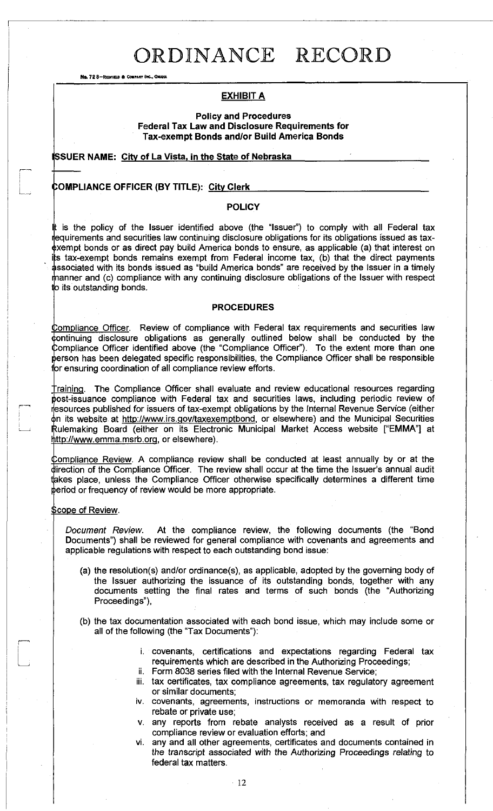No. 72 8-REDFIELD & COMPANY INC., OMAHA

### **EXHIBIT A**

**Policy and Procedures Federal Tax Law and Disclosure Requirements for Tax-exempt Bonds and/or Build America Bonds** 

**ISSUER NAME: City of La Vista, in the State of Nebraska** 

### **i :OMPUANCE OFFICER (BY TITLE): City Cler k**

### **POLICY**

It is the policy of the Issuer identified above (the "Issuer") to comply with all Federal tax lequirements and securities law continuing disclosure obligations for its obligations issued as taxexempt bonds or as direct pay build America bonds to ensure, as applicable (a) that interest on its tax-exempt bonds remains exempt from Federal income tax, (b) that the direct payments dissociated with its bonds issued as "build America bonds" are received by the Issuer in a timely manner and (c) compliance with any continuing disclosure obligations of the Issuer with respect **Id** its outstanding bonds.

#### **PROCEDURES**

Compliance Officer. Review of compliance with Federal tax requirements and securities law  $\phi$ ontinuing disclosure obligations as generally outlined below shall be conducted by the Compliance Officer identified above (the "Compliance Officer"). To the extent more than one person has been delegated specific responsibilities, the Compliance Officer shall be responsible for ensuring coordination of all compliance review efforts.

Training. The Compliance Officer shall evaluate and review educational resources regarding post-issuance compliance with Federal tax and securities laws, including periodic review of resources published for issuers of tax-exempt obligations by the Internal Revenue Service (either on its website at http://www.irs.gov/taxexemptbond, or elsewhere) and the Municipal Securities Rulemaking Board (either on its Electronic Municipal Market Access website ["EMMA"] at http://www.emma.msrb.or[g,](http://www.emma.msrb.org) or elsewhere).

Compliance Review. A compliance review shall be conducted at least annually by or at the direction of the Compliance Officer. The review shall occur at the time the Issuer's annual audit takes place, unless the Compliance Officer otherwise specifically determines a different time period or frequency of review would be more appropriate.

#### **Scope of Review.**

P <u>u 1999 n</u>

*Document Review.* At the compliance review, the following documents (the "Bond Documents") shall be reviewed for general compliance with covenants and agreements and applicable regulations with respect to each outstanding bond issue:

- (a) the resolution(s) and/or ordinance(s), as applicable, adopted by the governing body of the Issuer authorizing the issuance of its outstanding bonds, together with any documents setting the final rates and terms of such bonds (the "Authorizing Proceedings"),
- (b) the tax documentation associated with each bond issue, which may include some or all of the following (the "Tax Documents"):
	- i. covenants, certifications and expectations regarding Federal tax requirements which are described in the Authorizing Proceedings;
	- ii. Form 8038 series filed with the Internal Revenue Service;
	- iii. tax certificates, tax compliance agreements, tax regulatory agreement or similar documents;
	- iv. covenants, agreements, instructions or memoranda with respect to rebate or private use;
	- v. any reports from rebate analysts received as a result of prior compliance review or evaluation efforts; and
	- vi. any and all other agreements, certificates and documents contained in the transcript associated with the Authorizing Proceedings relating to federal tax matters.